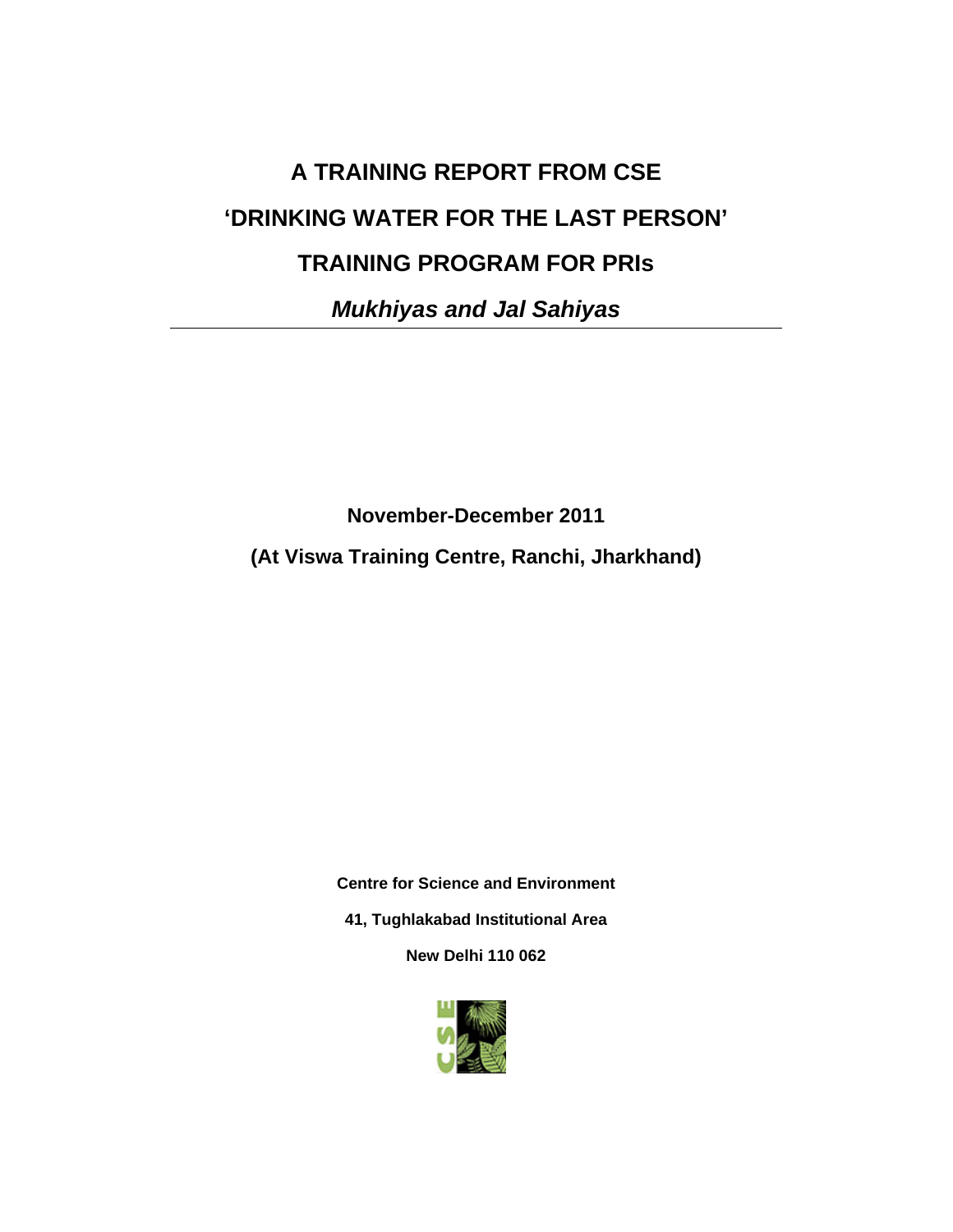# **A TRAINING REPORT FROM CSE 'DRINKING WATER FOR THE LAST PERSON' TRAINING PROGRAM FOR PRIs**

*Mukhiyas and Jal Sahiyas* 

**November-December 2011** 

**(At Viswa Training Centre, Ranchi, Jharkhand)** 

**Centre for Science and Environment 41, Tughlakabad Institutional Area** 

**New Delhi 110 062** 

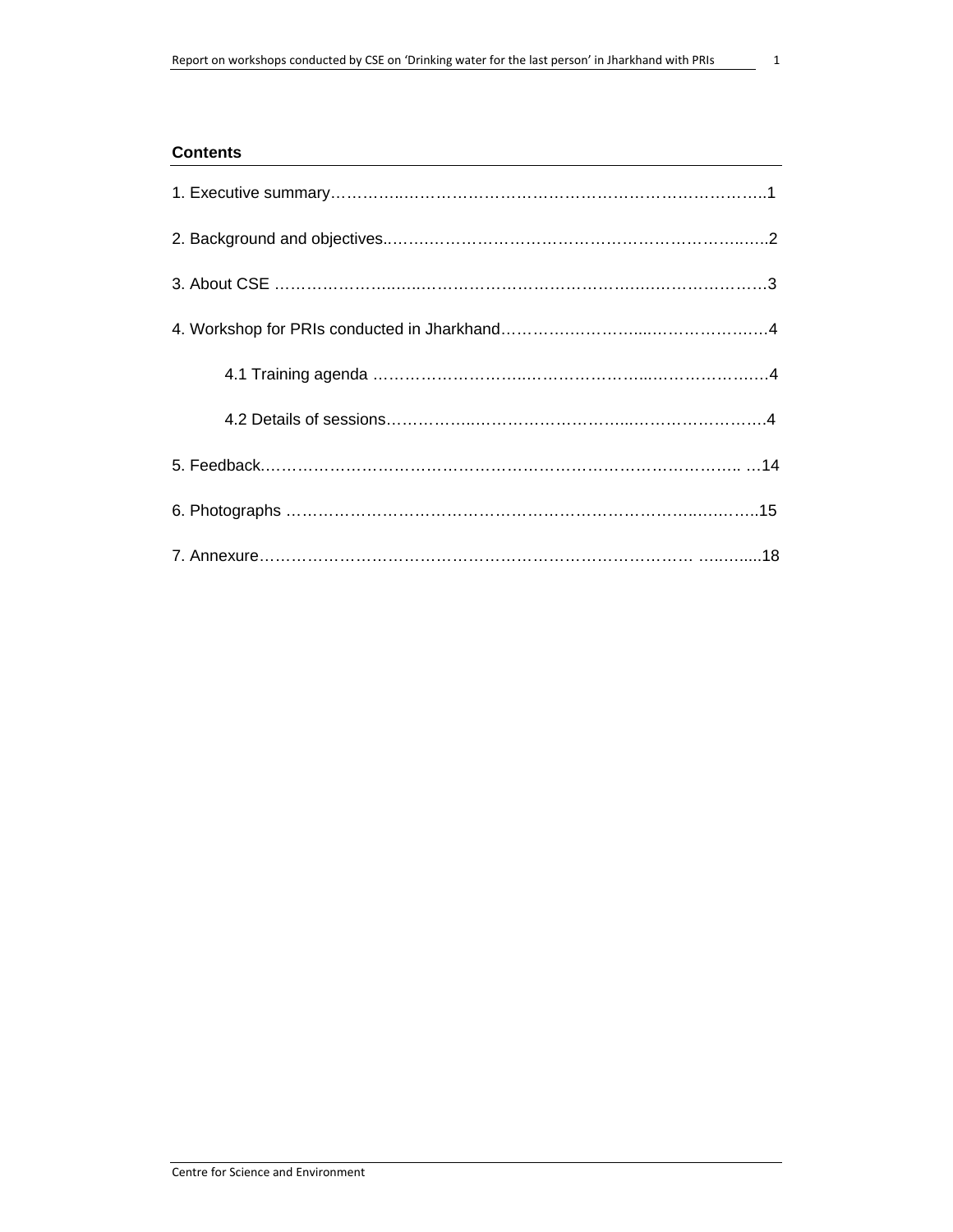#### **Contents**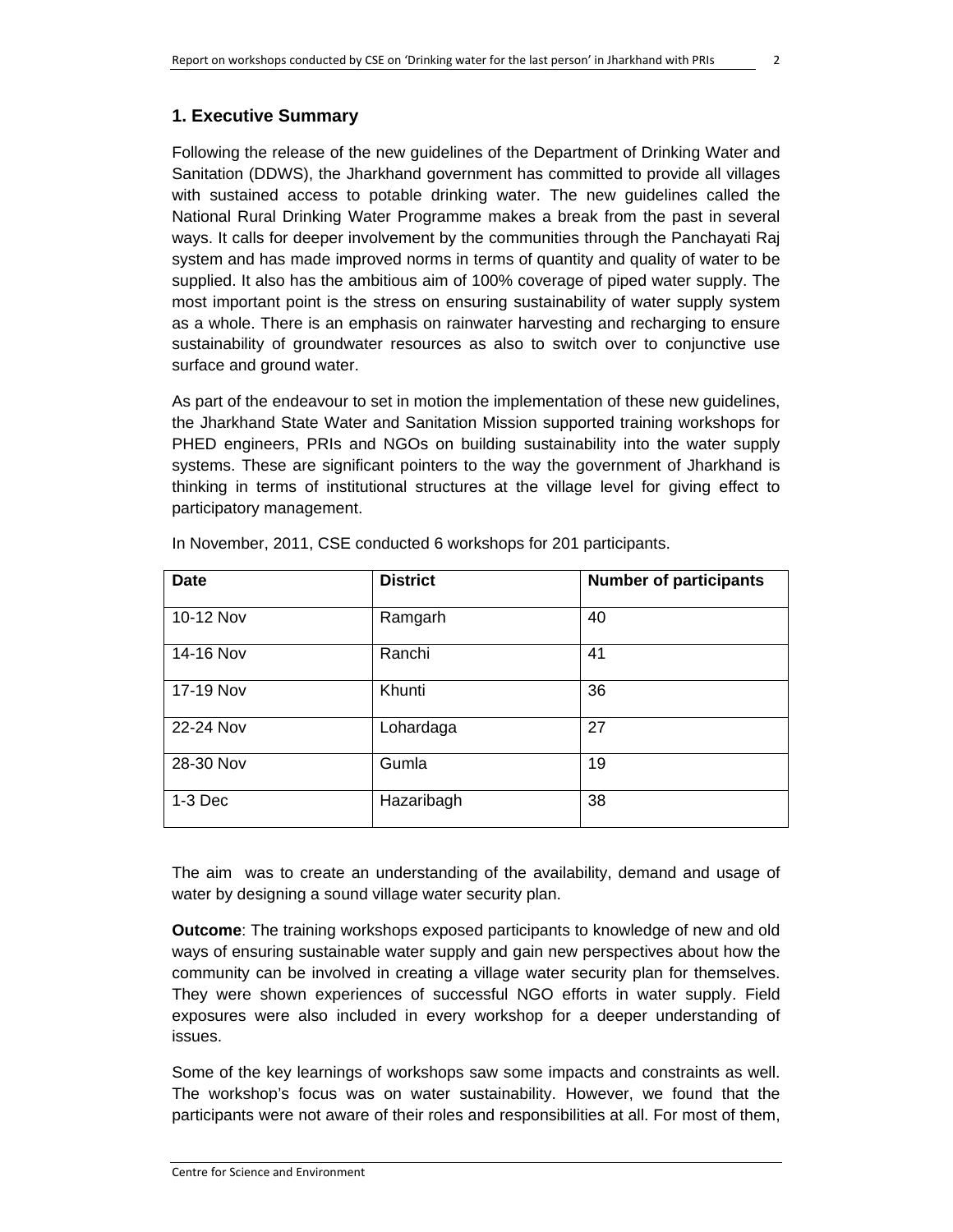#### **1. Executive Summary**

Following the release of the new guidelines of the Department of Drinking Water and Sanitation (DDWS), the Jharkhand government has committed to provide all villages with sustained access to potable drinking water. The new guidelines called the National Rural Drinking Water Programme makes a break from the past in several ways. It calls for deeper involvement by the communities through the Panchayati Raj system and has made improved norms in terms of quantity and quality of water to be supplied. It also has the ambitious aim of 100% coverage of piped water supply. The most important point is the stress on ensuring sustainability of water supply system as a whole. There is an emphasis on rainwater harvesting and recharging to ensure sustainability of groundwater resources as also to switch over to conjunctive use surface and ground water.

As part of the endeavour to set in motion the implementation of these new guidelines, the Jharkhand State Water and Sanitation Mission supported training workshops for PHED engineers, PRIs and NGOs on building sustainability into the water supply systems. These are significant pointers to the way the government of Jharkhand is thinking in terms of institutional structures at the village level for giving effect to participatory management.

| <b>Date</b> | <b>District</b> | <b>Number of participants</b> |
|-------------|-----------------|-------------------------------|
| 10-12 Nov   | Ramgarh         | 40                            |
| 14-16 Nov   | Ranchi          | 41                            |
| 17-19 Nov   | Khunti          | 36                            |
| 22-24 Nov   | Lohardaga       | 27                            |
| 28-30 Nov   | Gumla           | 19                            |
| $1-3$ Dec   | Hazaribagh      | 38                            |

In November, 2011, CSE conducted 6 workshops for 201 participants.

The aim was to create an understanding of the availability, demand and usage of water by designing a sound village water security plan.

**Outcome**: The training workshops exposed participants to knowledge of new and old ways of ensuring sustainable water supply and gain new perspectives about how the community can be involved in creating a village water security plan for themselves. They were shown experiences of successful NGO efforts in water supply. Field exposures were also included in every workshop for a deeper understanding of issues.

Some of the key learnings of workshops saw some impacts and constraints as well. The workshop's focus was on water sustainability. However, we found that the participants were not aware of their roles and responsibilities at all. For most of them,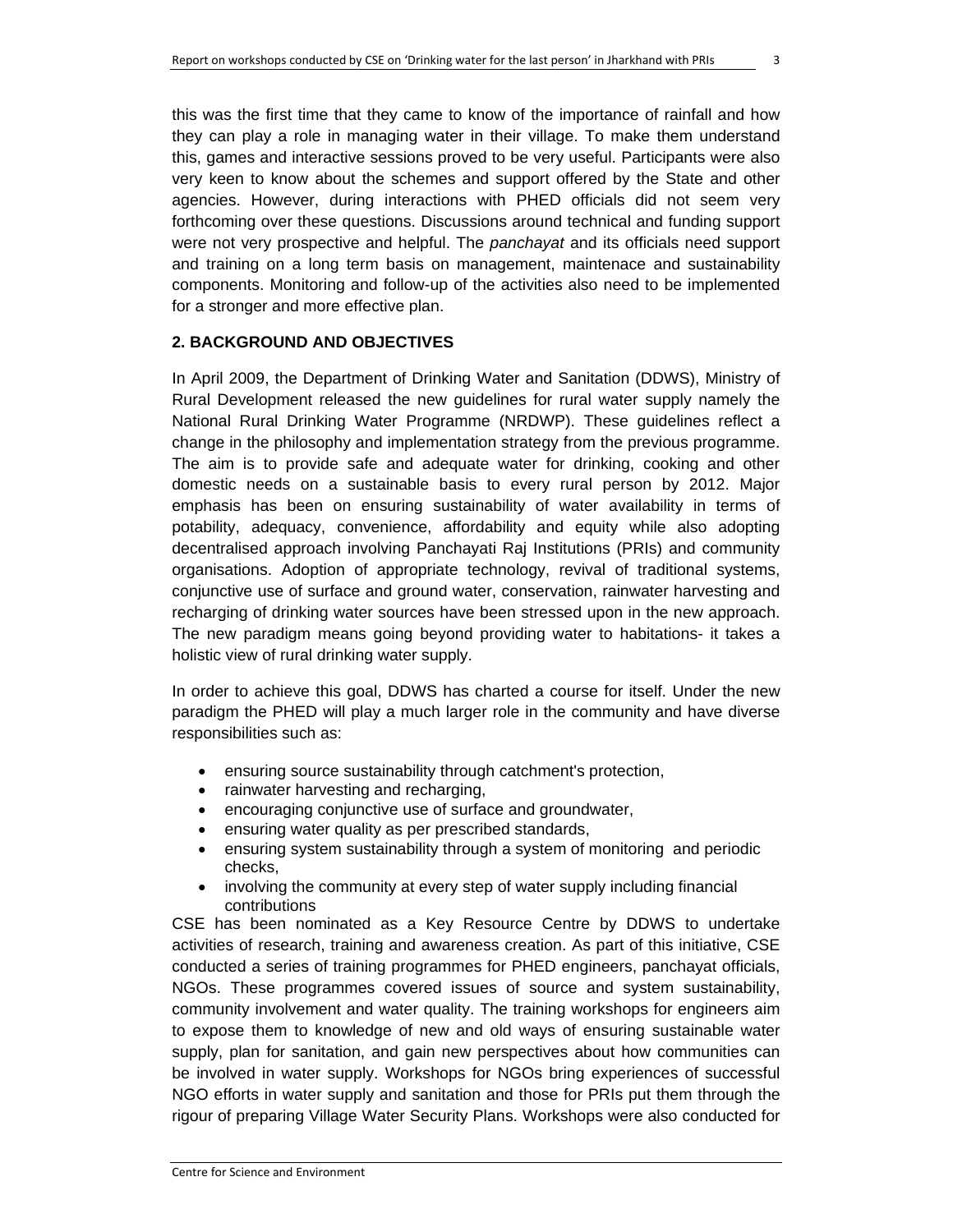this was the first time that they came to know of the importance of rainfall and how they can play a role in managing water in their village. To make them understand this, games and interactive sessions proved to be very useful. Participants were also very keen to know about the schemes and support offered by the State and other agencies. However, during interactions with PHED officials did not seem very forthcoming over these questions. Discussions around technical and funding support were not very prospective and helpful. The *panchayat* and its officials need support and training on a long term basis on management, maintenace and sustainability components. Monitoring and follow-up of the activities also need to be implemented for a stronger and more effective plan.

#### **2. BACKGROUND AND OBJECTIVES**

In April 2009, the Department of Drinking Water and Sanitation (DDWS), Ministry of Rural Development released the new guidelines for rural water supply namely the National Rural Drinking Water Programme (NRDWP). These guidelines reflect a change in the philosophy and implementation strategy from the previous programme. The aim is to provide safe and adequate water for drinking, cooking and other domestic needs on a sustainable basis to every rural person by 2012. Major emphasis has been on ensuring sustainability of water availability in terms of potability, adequacy, convenience, affordability and equity while also adopting decentralised approach involving Panchayati Raj Institutions (PRIs) and community organisations. Adoption of appropriate technology, revival of traditional systems, conjunctive use of surface and ground water, conservation, rainwater harvesting and recharging of drinking water sources have been stressed upon in the new approach. The new paradigm means going beyond providing water to habitations- it takes a holistic view of rural drinking water supply.

In order to achieve this goal, DDWS has charted a course for itself. Under the new paradigm the PHED will play a much larger role in the community and have diverse responsibilities such as:

- ensuring source sustainability through catchment's protection,
- rainwater harvesting and recharging,
- encouraging conjunctive use of surface and groundwater,
- ensuring water quality as per prescribed standards,
- ensuring system sustainability through a system of monitoring and periodic checks,
- involving the community at every step of water supply including financial contributions

CSE has been nominated as a Key Resource Centre by DDWS to undertake activities of research, training and awareness creation. As part of this initiative, CSE conducted a series of training programmes for PHED engineers, panchayat officials, NGOs. These programmes covered issues of source and system sustainability, community involvement and water quality. The training workshops for engineers aim to expose them to knowledge of new and old ways of ensuring sustainable water supply, plan for sanitation, and gain new perspectives about how communities can be involved in water supply. Workshops for NGOs bring experiences of successful NGO efforts in water supply and sanitation and those for PRIs put them through the rigour of preparing Village Water Security Plans. Workshops were also conducted for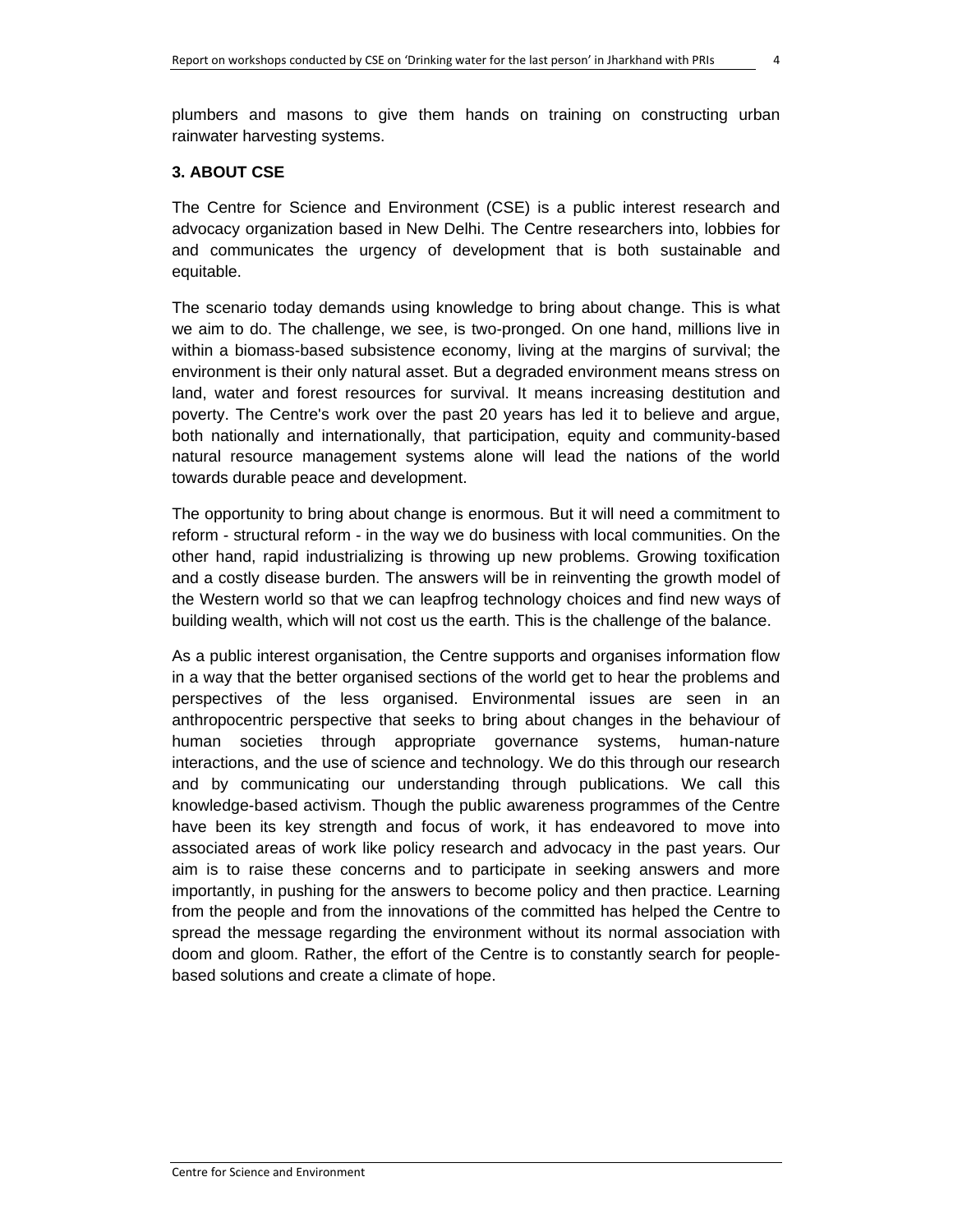plumbers and masons to give them hands on training on constructing urban rainwater harvesting systems.

#### **3. ABOUT CSE**

The Centre for Science and Environment (CSE) is a public interest research and advocacy organization based in New Delhi. The Centre researchers into, lobbies for and communicates the urgency of development that is both sustainable and equitable.

The scenario today demands using knowledge to bring about change. This is what we aim to do. The challenge, we see, is two-pronged. On one hand, millions live in within a biomass-based subsistence economy, living at the margins of survival; the environment is their only natural asset. But a degraded environment means stress on land, water and forest resources for survival. It means increasing destitution and poverty. The Centre's work over the past 20 years has led it to believe and argue, both nationally and internationally, that participation, equity and community-based natural resource management systems alone will lead the nations of the world towards durable peace and development.

The opportunity to bring about change is enormous. But it will need a commitment to reform - structural reform - in the way we do business with local communities. On the other hand, rapid industrializing is throwing up new problems. Growing toxification and a costly disease burden. The answers will be in reinventing the growth model of the Western world so that we can leapfrog technology choices and find new ways of building wealth, which will not cost us the earth. This is the challenge of the balance.

As a public interest organisation, the Centre supports and organises information flow in a way that the better organised sections of the world get to hear the problems and perspectives of the less organised. Environmental issues are seen in an anthropocentric perspective that seeks to bring about changes in the behaviour of human societies through appropriate governance systems, human-nature interactions, and the use of science and technology. We do this through our research and by communicating our understanding through publications. We call this knowledge-based activism. Though the public awareness programmes of the Centre have been its key strength and focus of work, it has endeavored to move into associated areas of work like policy research and advocacy in the past years. Our aim is to raise these concerns and to participate in seeking answers and more importantly, in pushing for the answers to become policy and then practice. Learning from the people and from the innovations of the committed has helped the Centre to spread the message regarding the environment without its normal association with doom and gloom. Rather, the effort of the Centre is to constantly search for peoplebased solutions and create a climate of hope.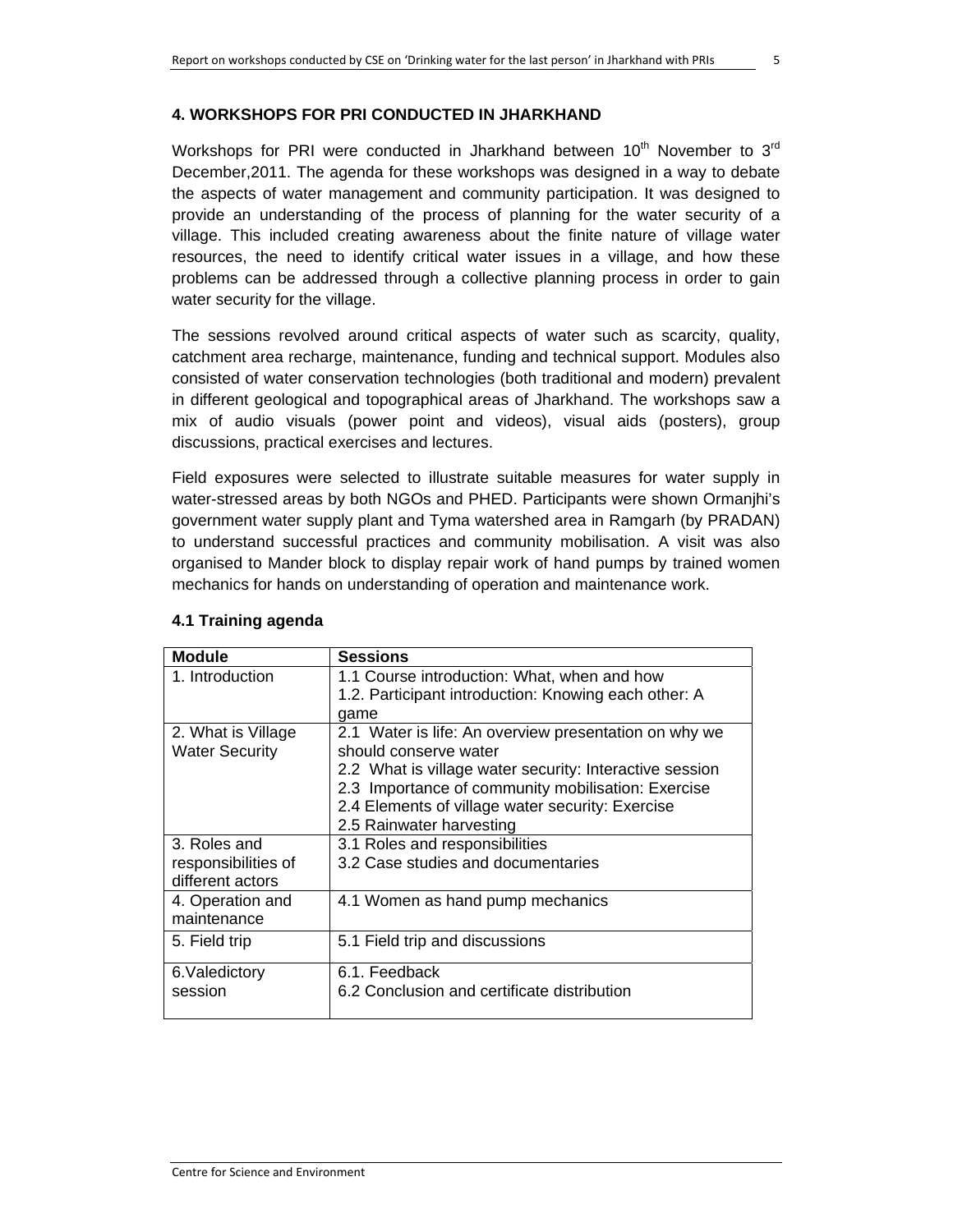#### **4. WORKSHOPS FOR PRI CONDUCTED IN JHARKHAND**

Workshops for PRI were conducted in Jharkhand between  $10^{th}$  November to  $3^{rd}$ December,2011. The agenda for these workshops was designed in a way to debate the aspects of water management and community participation. It was designed to provide an understanding of the process of planning for the water security of a village. This included creating awareness about the finite nature of village water resources, the need to identify critical water issues in a village, and how these problems can be addressed through a collective planning process in order to gain water security for the village.

The sessions revolved around critical aspects of water such as scarcity, quality, catchment area recharge, maintenance, funding and technical support. Modules also consisted of water conservation technologies (both traditional and modern) prevalent in different geological and topographical areas of Jharkhand. The workshops saw a mix of audio visuals (power point and videos), visual aids (posters), group discussions, practical exercises and lectures.

Field exposures were selected to illustrate suitable measures for water supply in water-stressed areas by both NGOs and PHED. Participants were shown Ormanjhi's government water supply plant and Tyma watershed area in Ramgarh (by PRADAN) to understand successful practices and community mobilisation. A visit was also organised to Mander block to display repair work of hand pumps by trained women mechanics for hands on understanding of operation and maintenance work.

| <b>Module</b>         | <b>Sessions</b>                                         |
|-----------------------|---------------------------------------------------------|
| 1. Introduction       | 1.1 Course introduction: What, when and how             |
|                       | 1.2. Participant introduction: Knowing each other: A    |
|                       | qame                                                    |
| 2. What is Village    | 2.1 Water is life: An overview presentation on why we   |
| <b>Water Security</b> | should conserve water                                   |
|                       | 2.2 What is village water security: Interactive session |
|                       | 2.3 Importance of community mobilisation: Exercise      |
|                       | 2.4 Elements of village water security: Exercise        |
|                       | 2.5 Rainwater harvesting                                |
| 3. Roles and          | 3.1 Roles and responsibilities                          |
| responsibilities of   | 3.2 Case studies and documentaries                      |
| different actors      |                                                         |
| 4. Operation and      | 4.1 Women as hand pump mechanics                        |
| maintenance           |                                                         |
| 5. Field trip         | 5.1 Field trip and discussions                          |
|                       |                                                         |
| 6. Valedictory        | 6.1. Feedback                                           |
| session               | 6.2 Conclusion and certificate distribution             |
|                       |                                                         |

#### **4.1 Training agenda**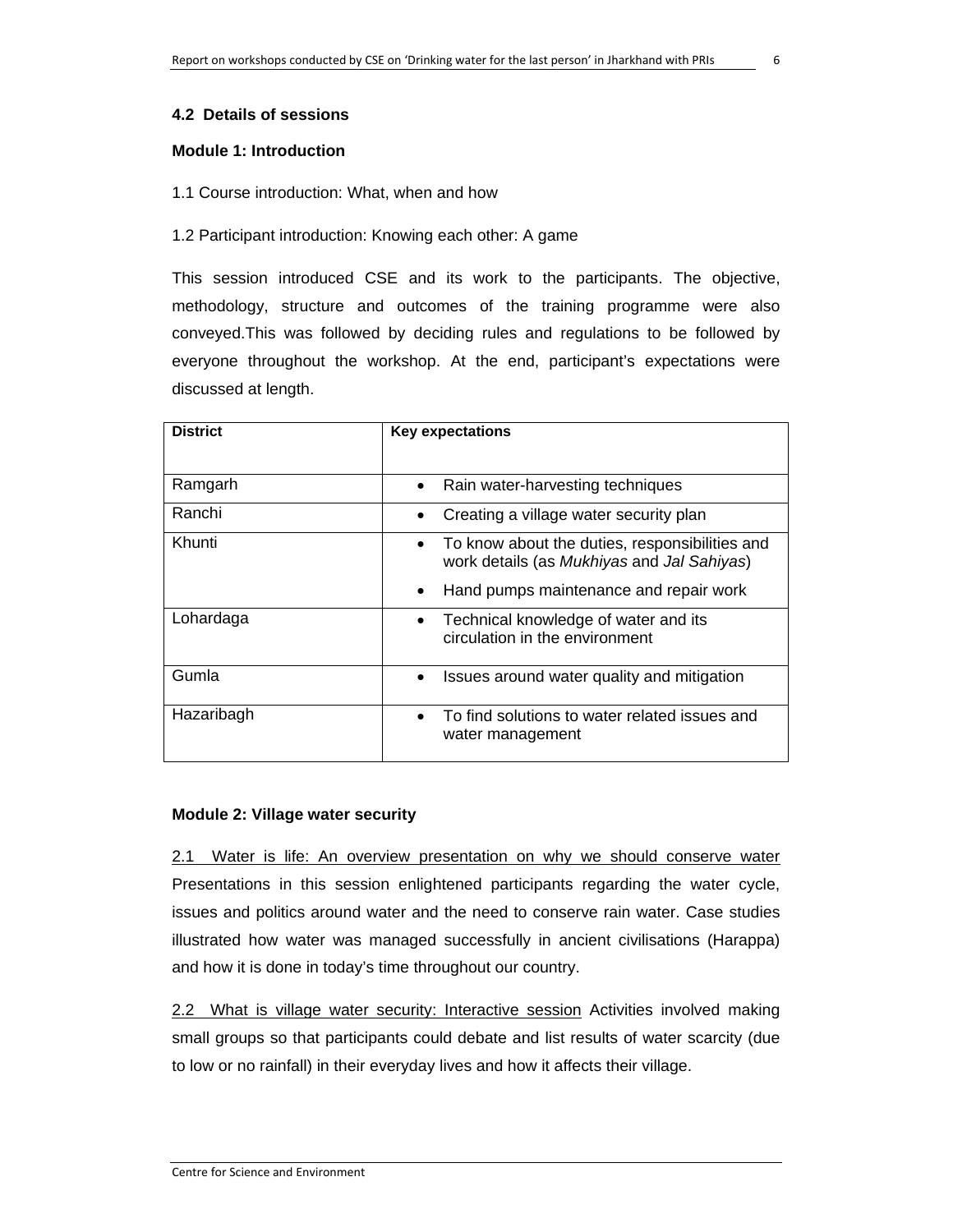#### **4.2 Details of sessions**

#### **Module 1: Introduction**

#### 1.1 Course introduction: What, when and how

#### 1.2 Participant introduction: Knowing each other: A game

This session introduced CSE and its work to the participants. The objective, methodology, structure and outcomes of the training programme were also conveyed.This was followed by deciding rules and regulations to be followed by everyone throughout the workshop. At the end, participant's expectations were discussed at length.

| <b>District</b> | <b>Key expectations</b>                                                                      |
|-----------------|----------------------------------------------------------------------------------------------|
| Ramgarh         | Rain water-harvesting techniques<br>٠                                                        |
| Ranchi          | Creating a village water security plan<br>٠                                                  |
| Khunti          | To know about the duties, responsibilities and<br>work details (as Mukhiyas and Jal Sahiyas) |
|                 | Hand pumps maintenance and repair work<br>٠                                                  |
| Lohardaga       | Technical knowledge of water and its<br>$\bullet$<br>circulation in the environment          |
| Gumla           | Issues around water quality and mitigation<br>$\bullet$                                      |
| Hazaribagh      | To find solutions to water related issues and<br>$\bullet$<br>water management               |

#### **Module 2: Village water security**

2.1 Water is life: An overview presentation on why we should conserve water Presentations in this session enlightened participants regarding the water cycle, issues and politics around water and the need to conserve rain water. Case studies illustrated how water was managed successfully in ancient civilisations (Harappa) and how it is done in today's time throughout our country.

2.2 What is village water security: Interactive session Activities involved making small groups so that participants could debate and list results of water scarcity (due to low or no rainfall) in their everyday lives and how it affects their village.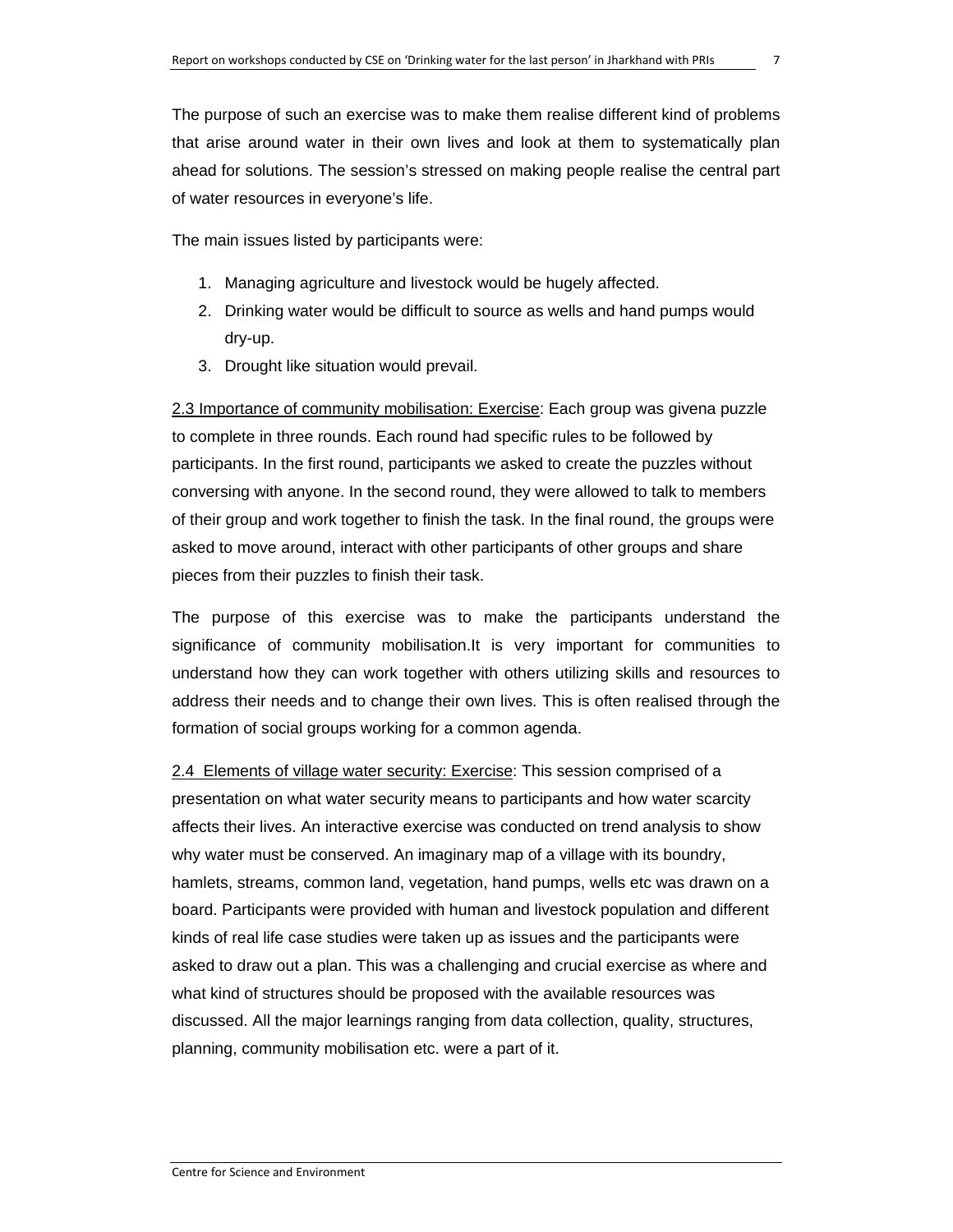The purpose of such an exercise was to make them realise different kind of problems that arise around water in their own lives and look at them to systematically plan ahead for solutions. The session's stressed on making people realise the central part of water resources in everyone's life.

The main issues listed by participants were:

- 1. Managing agriculture and livestock would be hugely affected.
- 2. Drinking water would be difficult to source as wells and hand pumps would dry-up.
- 3. Drought like situation would prevail.

2.3 Importance of community mobilisation: Exercise: Each group was givena puzzle to complete in three rounds. Each round had specific rules to be followed by participants. In the first round, participants we asked to create the puzzles without conversing with anyone. In the second round, they were allowed to talk to members of their group and work together to finish the task. In the final round, the groups were asked to move around, interact with other participants of other groups and share pieces from their puzzles to finish their task.

The purpose of this exercise was to make the participants understand the significance of community mobilisation.It is very important for communities to understand how they can work together with others utilizing skills and resources to address their needs and to change their own lives. This is often realised through the formation of social groups working for a common agenda.

2.4 Elements of village water security: Exercise: This session comprised of a presentation on what water security means to participants and how water scarcity affects their lives. An interactive exercise was conducted on trend analysis to show why water must be conserved. An imaginary map of a village with its boundry, hamlets, streams, common land, vegetation, hand pumps, wells etc was drawn on a board. Participants were provided with human and livestock population and different kinds of real life case studies were taken up as issues and the participants were asked to draw out a plan. This was a challenging and crucial exercise as where and what kind of structures should be proposed with the available resources was discussed. All the major learnings ranging from data collection, quality, structures, planning, community mobilisation etc. were a part of it.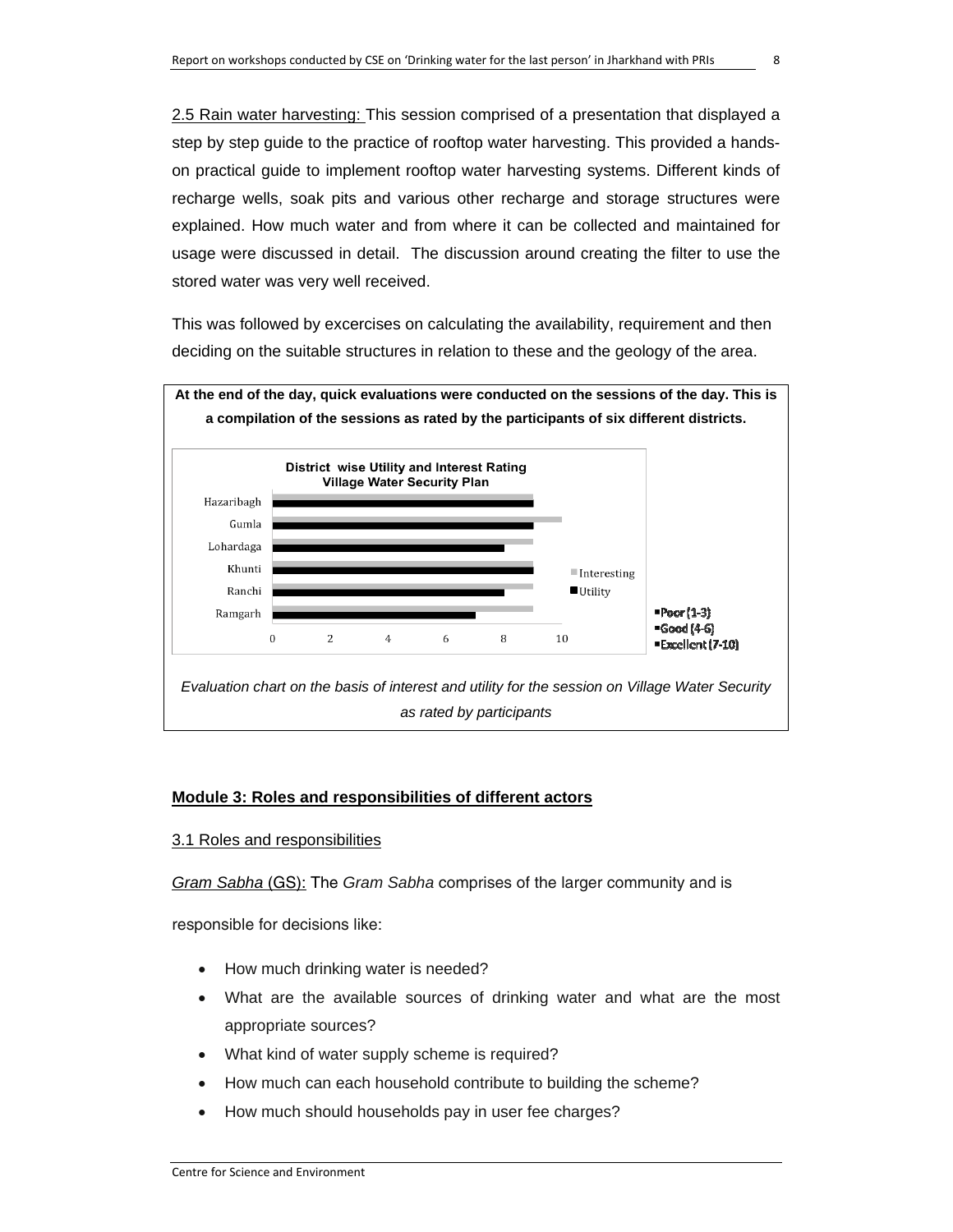2.5 Rain water harvesting: This session comprised of a presentation that displayed a step by step guide to the practice of rooftop water harvesting. This provided a handson practical guide to implement rooftop water harvesting systems. Different kinds of recharge wells, soak pits and various other recharge and storage structures were explained. How much water and from where it can be collected and maintained for usage were discussed in detail. The discussion around creating the filter to use the stored water was very well received.

This was followed by excercises on calculating the availability, requirement and then deciding on the suitable structures in relation to these and the geology of the area.



#### **Module 3: Roles and responsibilities of different actors**

#### 3.1 Roles and responsibilities

*Gram Sabha* (GS): The *Gram Sabha* comprises of the larger community and is

responsible for decisions like:

- How much drinking water is needed?
- What are the available sources of drinking water and what are the most appropriate sources?
- What kind of water supply scheme is required?
- How much can each household contribute to building the scheme?
- How much should households pay in user fee charges?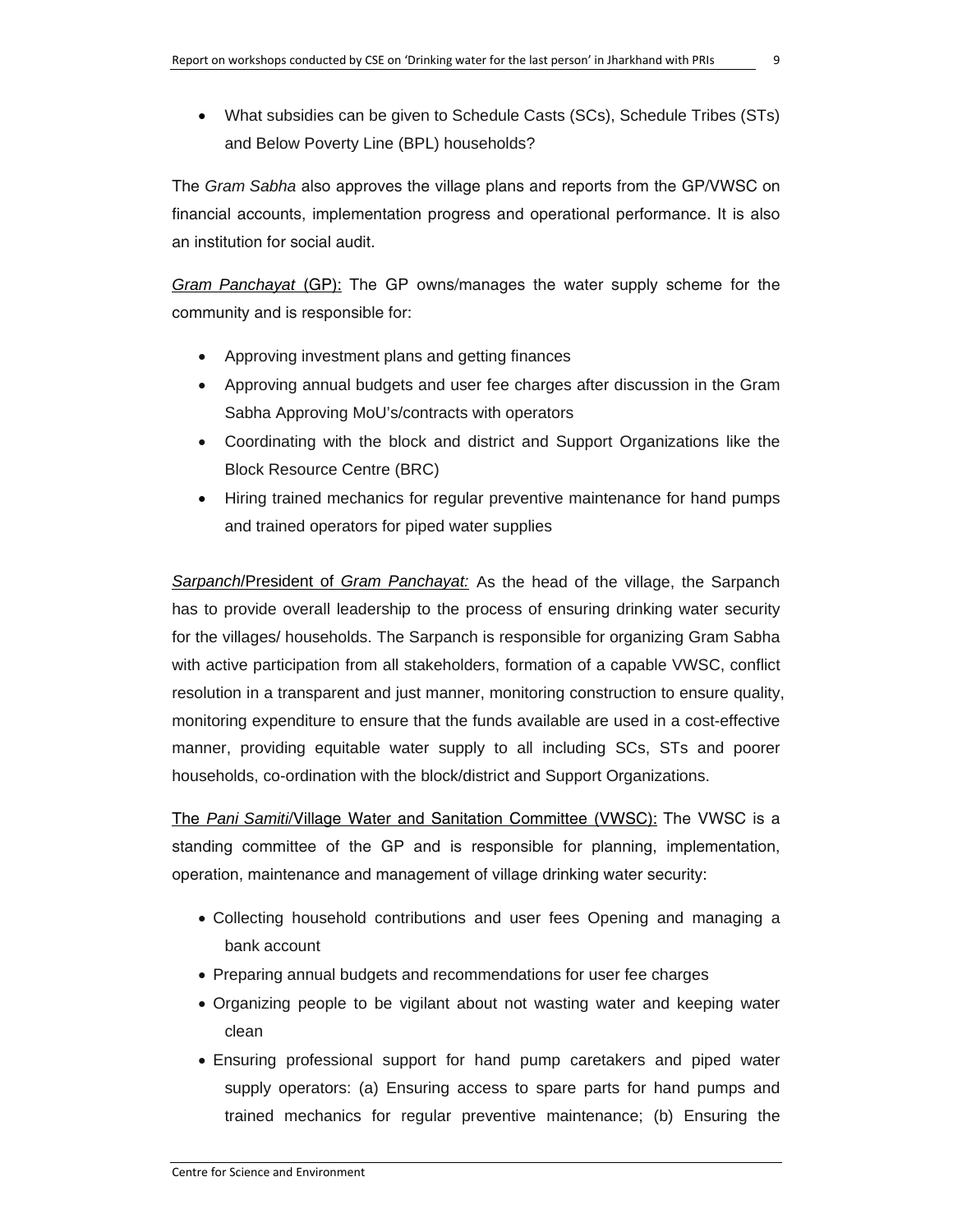• What subsidies can be given to Schedule Casts (SCs), Schedule Tribes (STs) and Below Poverty Line (BPL) households?

The *Gram Sabha* also approves the village plans and reports from the GP/VWSC on financial accounts, implementation progress and operational performance. It is also an institution for social audit.

*Gram Panchayat* (GP): The GP owns/manages the water supply scheme for the community and is responsible for:

- Approving investment plans and getting finances
- Approving annual budgets and user fee charges after discussion in the Gram Sabha Approving MoU's/contracts with operators
- Coordinating with the block and district and Support Organizations like the Block Resource Centre (BRC)
- Hiring trained mechanics for regular preventive maintenance for hand pumps and trained operators for piped water supplies

*Sarpanch*/President of *Gram Panchayat:* As the head of the village, the Sarpanch has to provide overall leadership to the process of ensuring drinking water security for the villages/ households. The Sarpanch is responsible for organizing Gram Sabha with active participation from all stakeholders, formation of a capable VWSC, conflict resolution in a transparent and just manner, monitoring construction to ensure quality, monitoring expenditure to ensure that the funds available are used in a cost-effective manner, providing equitable water supply to all including SCs, STs and poorer households, co-ordination with the block/district and Support Organizations.

The *Pani Samiti*/Village Water and Sanitation Committee (VWSC): The VWSC is a standing committee of the GP and is responsible for planning, implementation, operation, maintenance and management of village drinking water security:

- Collecting household contributions and user fees Opening and managing a bank account
- Preparing annual budgets and recommendations for user fee charges
- Organizing people to be vigilant about not wasting water and keeping water clean
- Ensuring professional support for hand pump caretakers and piped water supply operators: (a) Ensuring access to spare parts for hand pumps and trained mechanics for regular preventive maintenance; (b) Ensuring the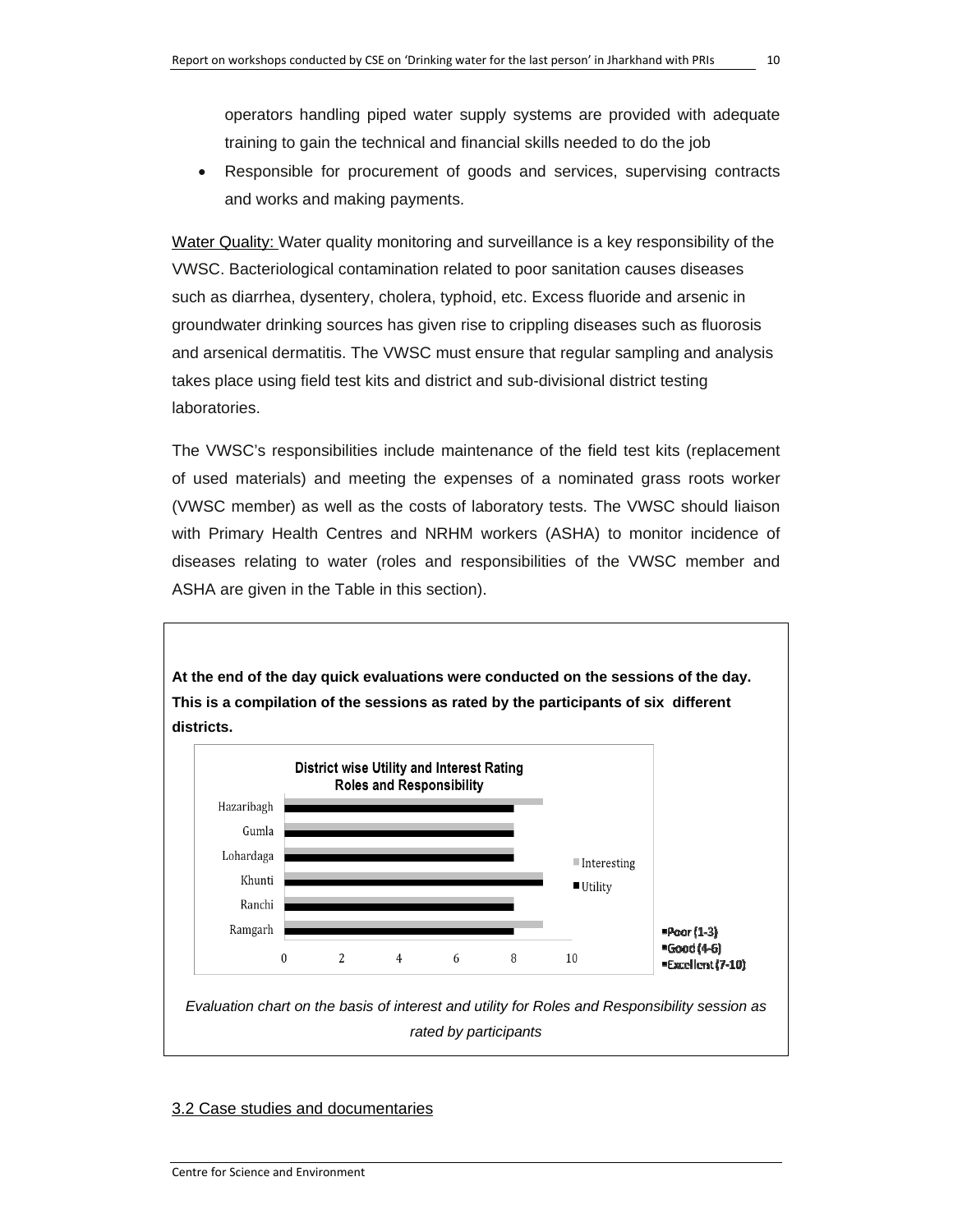operators handling piped water supply systems are provided with adequate training to gain the technical and financial skills needed to do the job

• Responsible for procurement of goods and services, supervising contracts and works and making payments.

Water Quality: Water quality monitoring and surveillance is a key responsibility of the VWSC. Bacteriological contamination related to poor sanitation causes diseases such as diarrhea, dysentery, cholera, typhoid, etc. Excess fluoride and arsenic in groundwater drinking sources has given rise to crippling diseases such as fluorosis and arsenical dermatitis. The VWSC must ensure that regular sampling and analysis takes place using field test kits and district and sub-divisional district testing laboratories.

The VWSC's responsibilities include maintenance of the field test kits (replacement of used materials) and meeting the expenses of a nominated grass roots worker (VWSC member) as well as the costs of laboratory tests. The VWSC should liaison with Primary Health Centres and NRHM workers (ASHA) to monitor incidence of diseases relating to water (roles and responsibilities of the VWSC member and ASHA are given in the Table in this section).



#### 3.2 Case studies and documentaries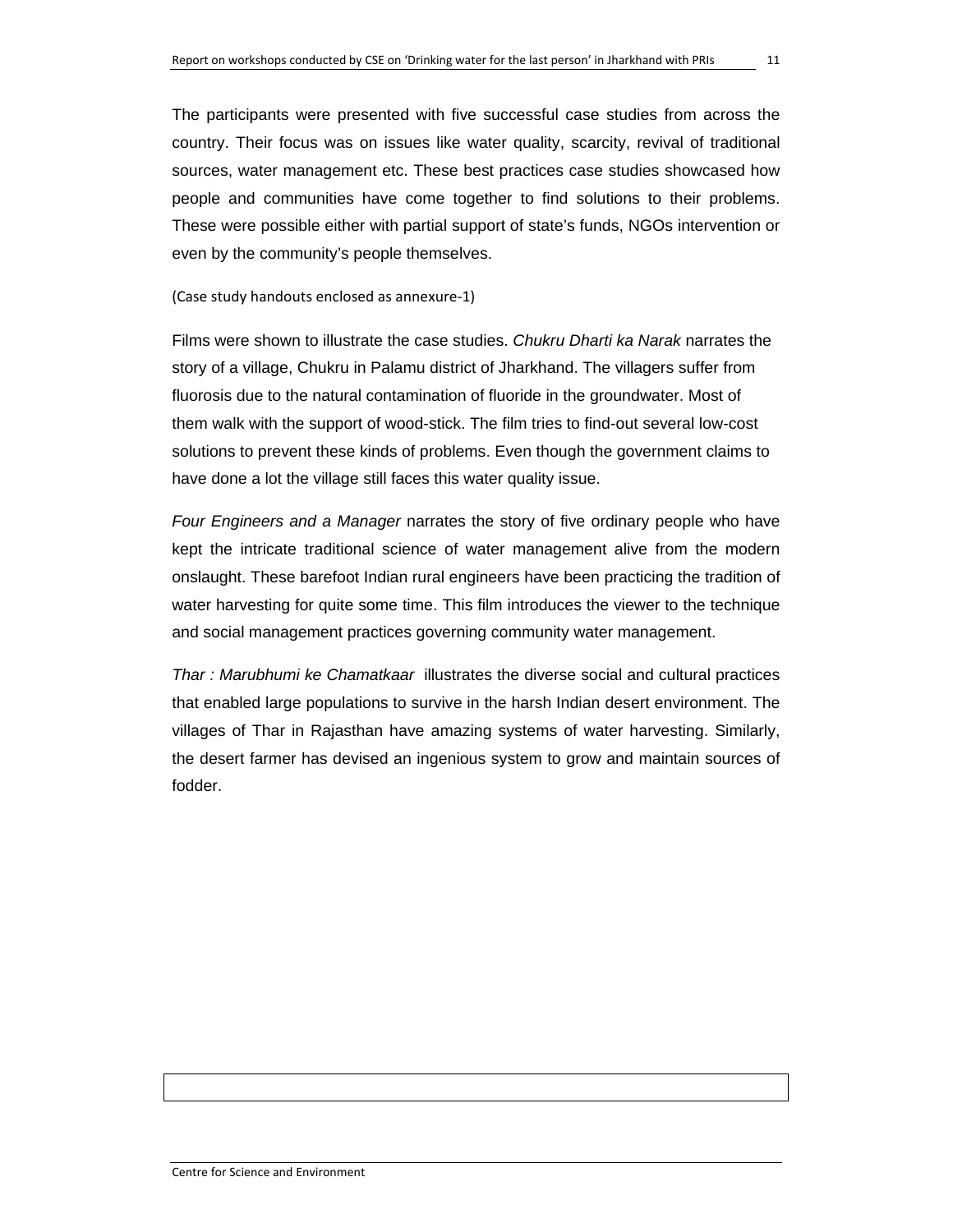The participants were presented with five successful case studies from across the country. Their focus was on issues like water quality, scarcity, revival of traditional sources, water management etc. These best practices case studies showcased how people and communities have come together to find solutions to their problems. These were possible either with partial support of state's funds, NGOs intervention or even by the community's people themselves.

(Case study handouts enclosed as annexure‐1)

Films were shown to illustrate the case studies. *Chukru Dharti ka Narak* narrates the story of a village, Chukru in Palamu district of Jharkhand. The villagers suffer from fluorosis due to the natural contamination of fluoride in the groundwater. Most of them walk with the support of wood-stick. The film tries to find-out several low-cost solutions to prevent these kinds of problems. Even though the government claims to have done a lot the village still faces this water quality issue.

*Four Engineers and a Manager* narrates the story of five ordinary people who have kept the intricate traditional science of water management alive from the modern onslaught. These barefoot Indian rural engineers have been practicing the tradition of water harvesting for quite some time. This film introduces the viewer to the technique and social management practices governing community water management.

*Thar : Marubhumi ke Chamatkaar* illustrates the diverse social and cultural practices that enabled large populations to survive in the harsh Indian desert environment. The villages of Thar in Rajasthan have amazing systems of water harvesting. Similarly, the desert farmer has devised an ingenious system to grow and maintain sources of fodder.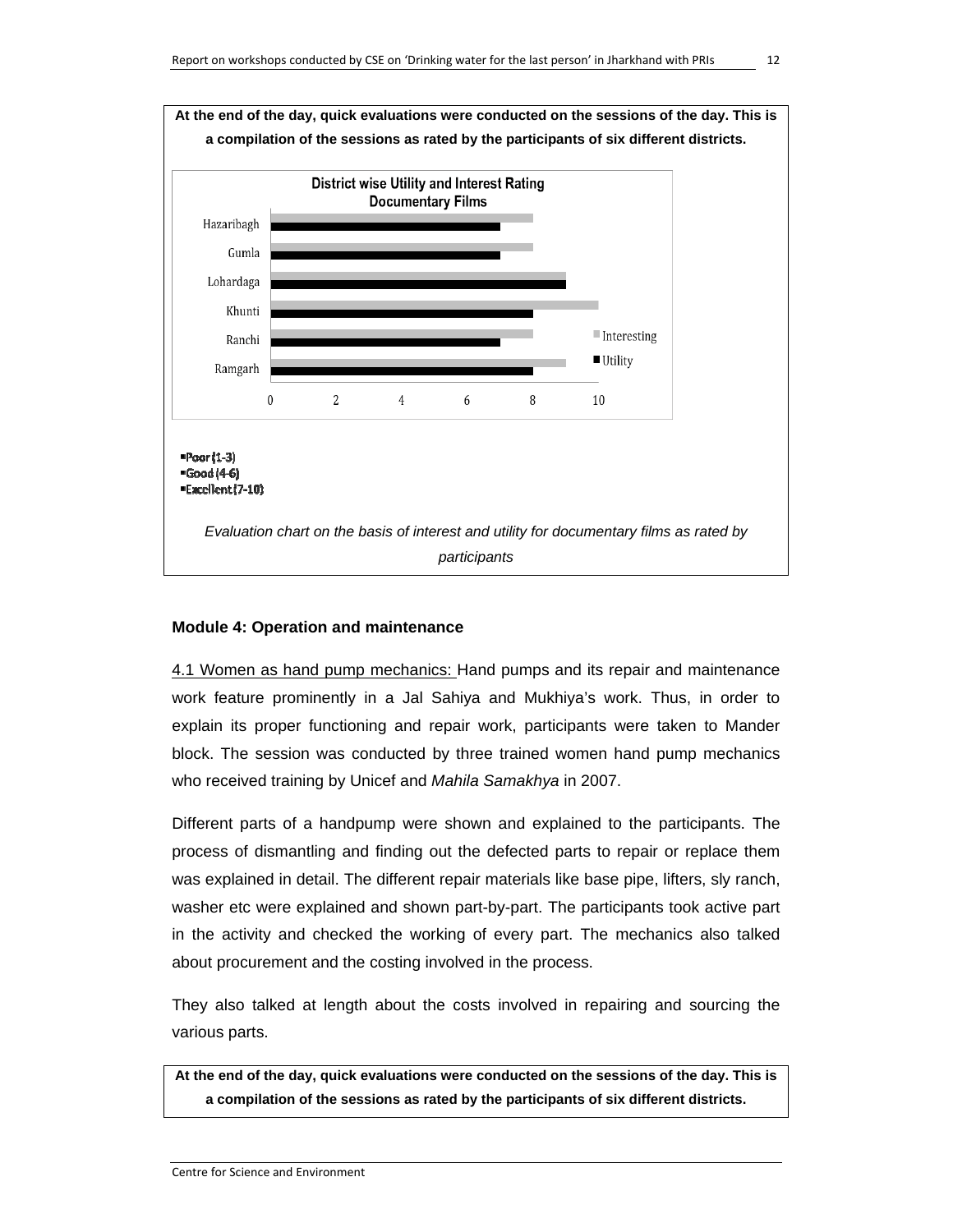

#### **Module 4: Operation and maintenance**

4.1 Women as hand pump mechanics: Hand pumps and its repair and maintenance work feature prominently in a Jal Sahiya and Mukhiya's work. Thus, in order to explain its proper functioning and repair work, participants were taken to Mander block. The session was conducted by three trained women hand pump mechanics who received training by Unicef and *Mahila Samakhya* in 2007.

Different parts of a handpump were shown and explained to the participants. The process of dismantling and finding out the defected parts to repair or replace them was explained in detail. The different repair materials like base pipe, lifters, sly ranch, washer etc were explained and shown part-by-part. The participants took active part in the activity and checked the working of every part. The mechanics also talked about procurement and the costing involved in the process.

They also talked at length about the costs involved in repairing and sourcing the various parts.

**At the end of the day, quick evaluations were conducted on the sessions of the day. This is a compilation of the sessions as rated by the participants of six different districts.**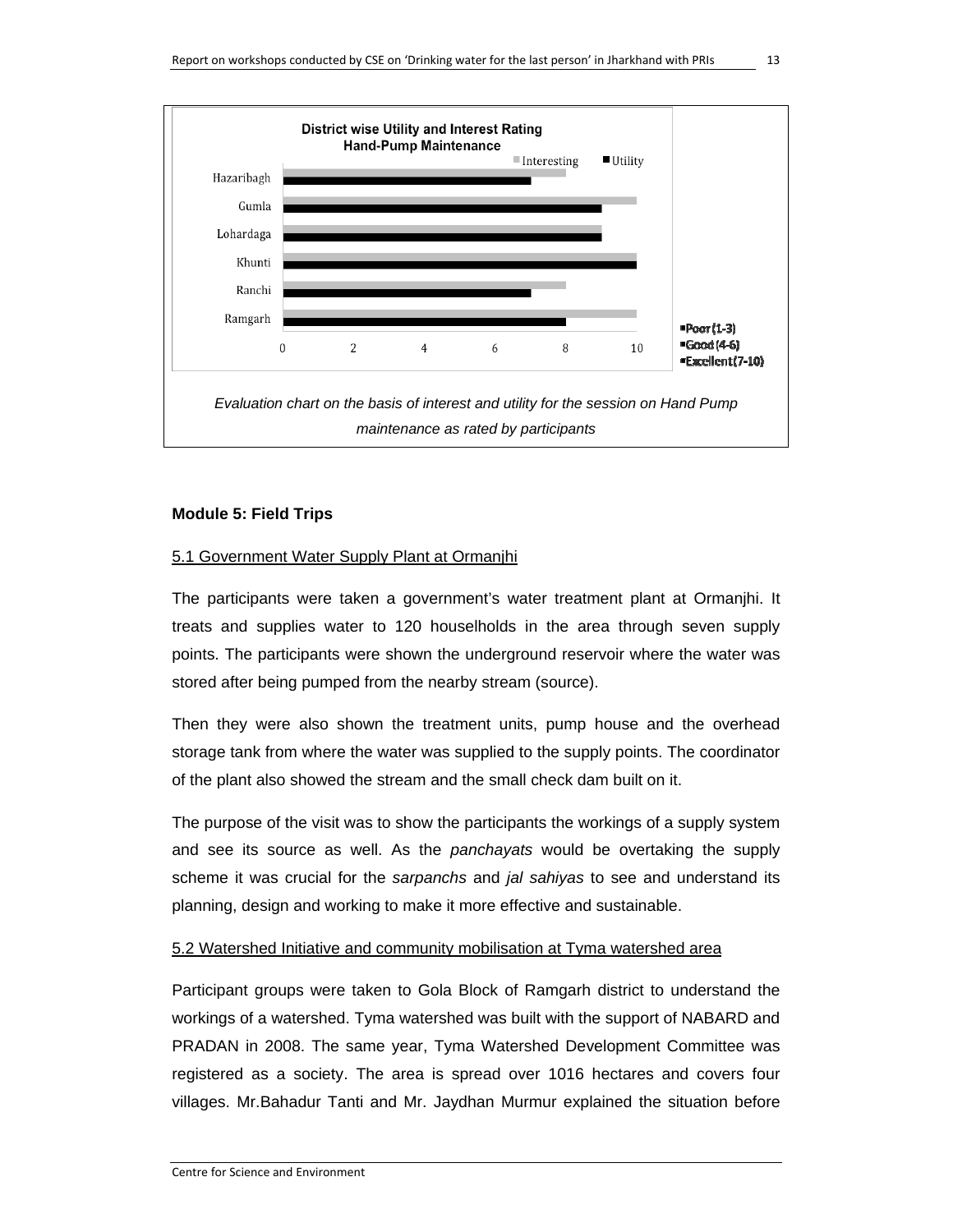

#### **Module 5: Field Trips**

#### 5.1 Government Water Supply Plant at Ormanjhi

The participants were taken a government's water treatment plant at Ormanjhi. It treats and supplies water to 120 houselholds in the area through seven supply points. The participants were shown the underground reservoir where the water was stored after being pumped from the nearby stream (source).

Then they were also shown the treatment units, pump house and the overhead storage tank from where the water was supplied to the supply points. The coordinator of the plant also showed the stream and the small check dam built on it.

The purpose of the visit was to show the participants the workings of a supply system and see its source as well. As the *panchayats* would be overtaking the supply scheme it was crucial for the *sarpanchs* and *jal sahiyas* to see and understand its planning, design and working to make it more effective and sustainable.

#### 5.2 Watershed Initiative and community mobilisation at Tyma watershed area

Participant groups were taken to Gola Block of Ramgarh district to understand the workings of a watershed. Tyma watershed was built with the support of NABARD and PRADAN in 2008. The same year, Tyma Watershed Development Committee was registered as a society. The area is spread over 1016 hectares and covers four villages. Mr.Bahadur Tanti and Mr. Jaydhan Murmur explained the situation before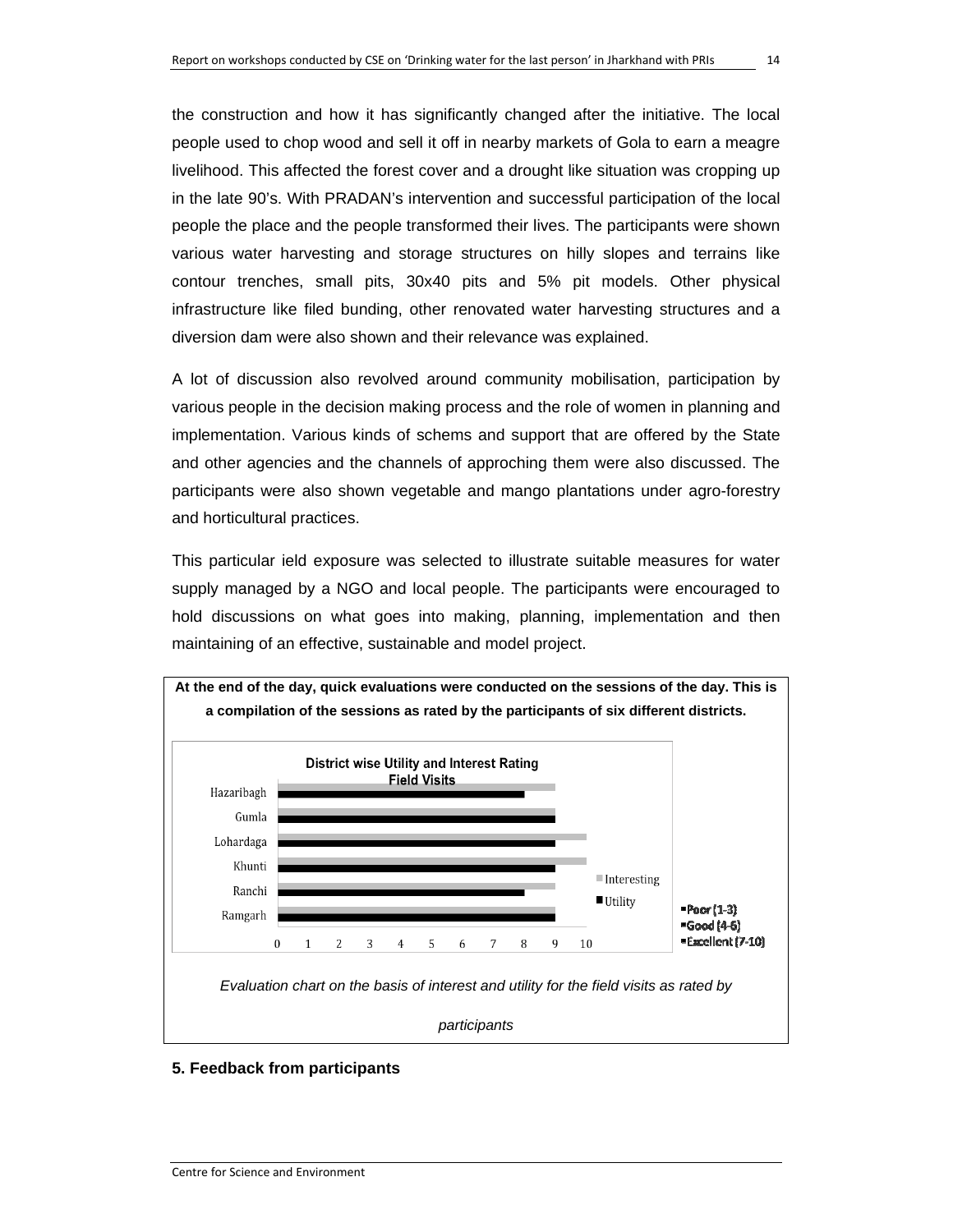the construction and how it has significantly changed after the initiative. The local people used to chop wood and sell it off in nearby markets of Gola to earn a meagre livelihood. This affected the forest cover and a drought like situation was cropping up in the late 90's. With PRADAN's intervention and successful participation of the local people the place and the people transformed their lives. The participants were shown various water harvesting and storage structures on hilly slopes and terrains like contour trenches, small pits, 30x40 pits and 5% pit models. Other physical infrastructure like filed bunding, other renovated water harvesting structures and a diversion dam were also shown and their relevance was explained.

A lot of discussion also revolved around community mobilisation, participation by various people in the decision making process and the role of women in planning and implementation. Various kinds of schems and support that are offered by the State and other agencies and the channels of approching them were also discussed. The participants were also shown vegetable and mango plantations under agro-forestry and horticultural practices.

This particular ield exposure was selected to illustrate suitable measures for water supply managed by a NGO and local people. The participants were encouraged to hold discussions on what goes into making, planning, implementation and then maintaining of an effective, sustainable and model project.



#### **5. Feedback from participants**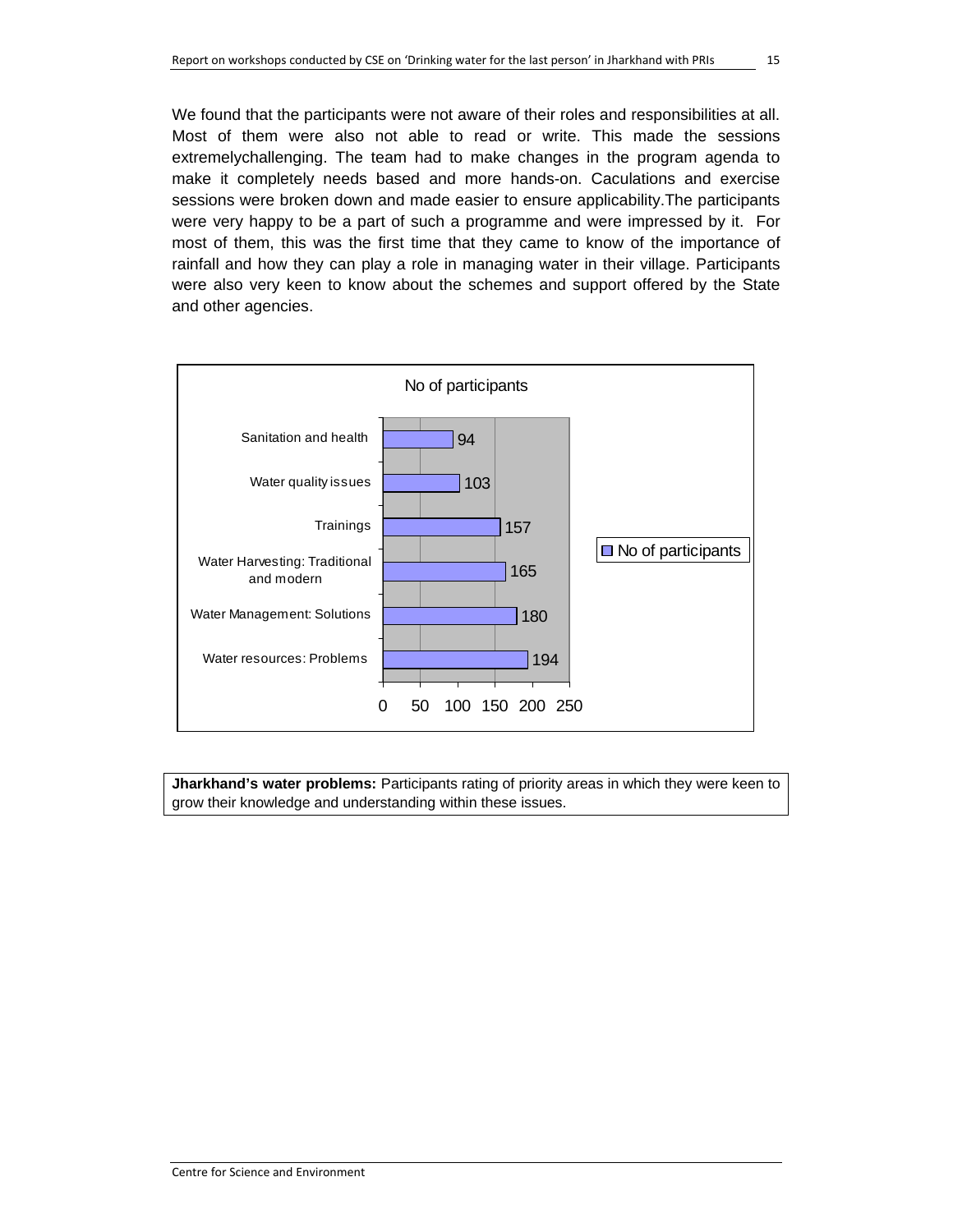We found that the participants were not aware of their roles and responsibilities at all. Most of them were also not able to read or write. This made the sessions extremelychallenging. The team had to make changes in the program agenda to make it completely needs based and more hands-on. Caculations and exercise sessions were broken down and made easier to ensure applicability.The participants were very happy to be a part of such a programme and were impressed by it. For most of them, this was the first time that they came to know of the importance of rainfall and how they can play a role in managing water in their village. Participants were also very keen to know about the schemes and support offered by the State and other agencies.



**Jharkhand's water problems:** Participants rating of priority areas in which they were keen to grow their knowledge and understanding within these issues.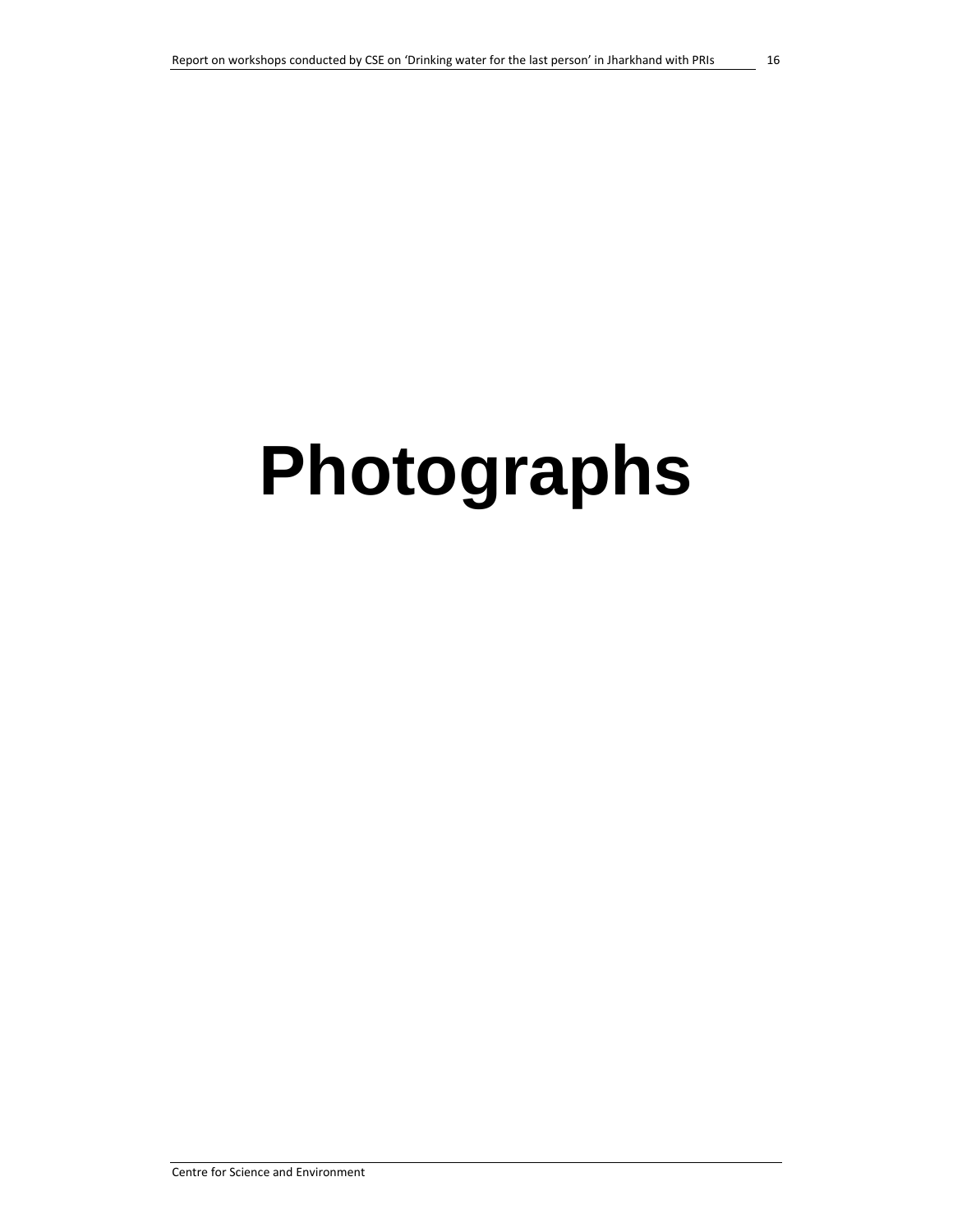# **Photographs**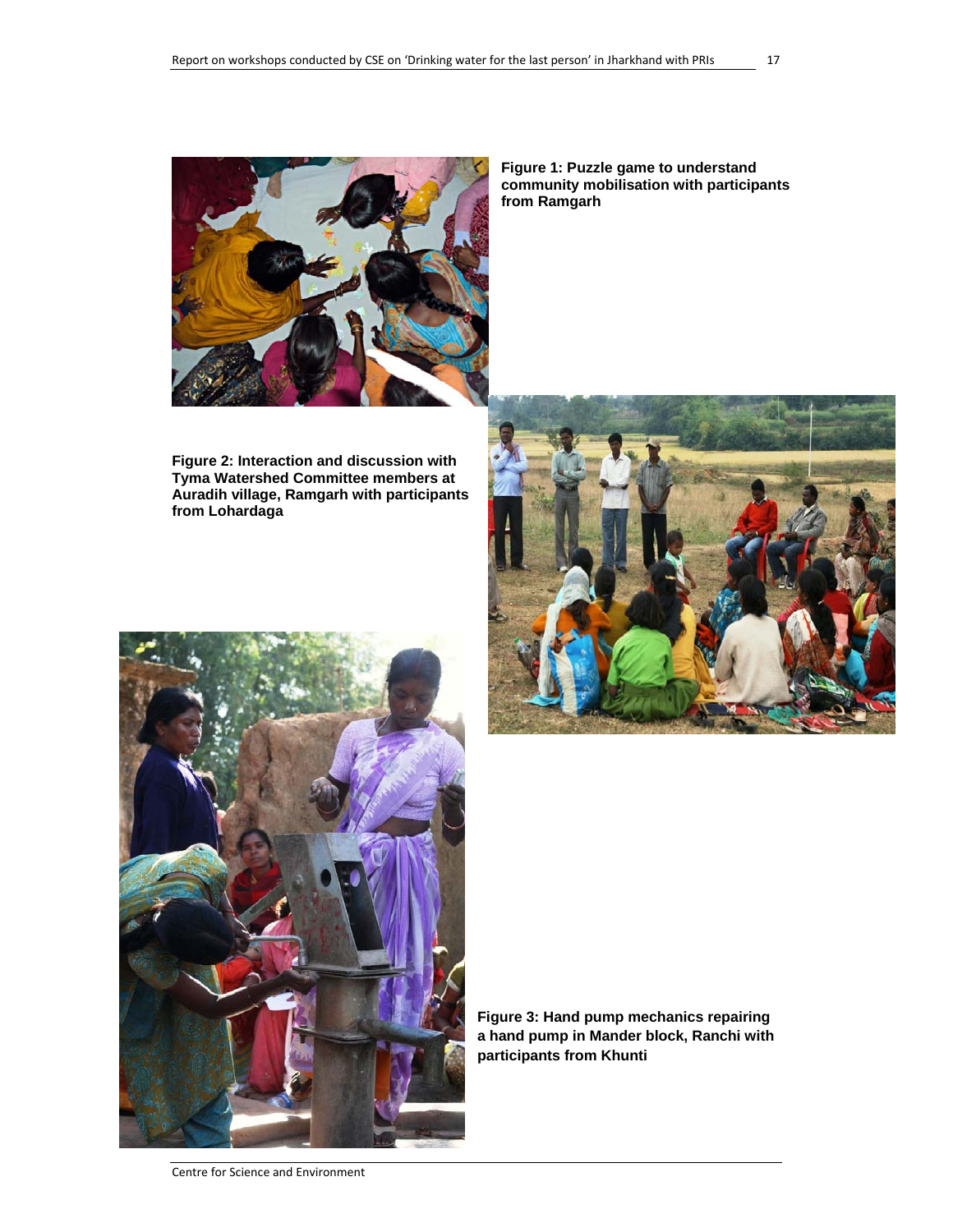

**Figure 1: Puzzle game to understand community mobilisation with participants from Ramgarh** 

**Figure 2: Interaction and discussion with Tyma Watershed Committee members at Auradih village, Ramgarh with participants from Lohardaga** 





**Figure 3: Hand pump mechanics repairing a hand pump in Mander block, Ranchi with participants from Khunti** 

Centre for Science and Environment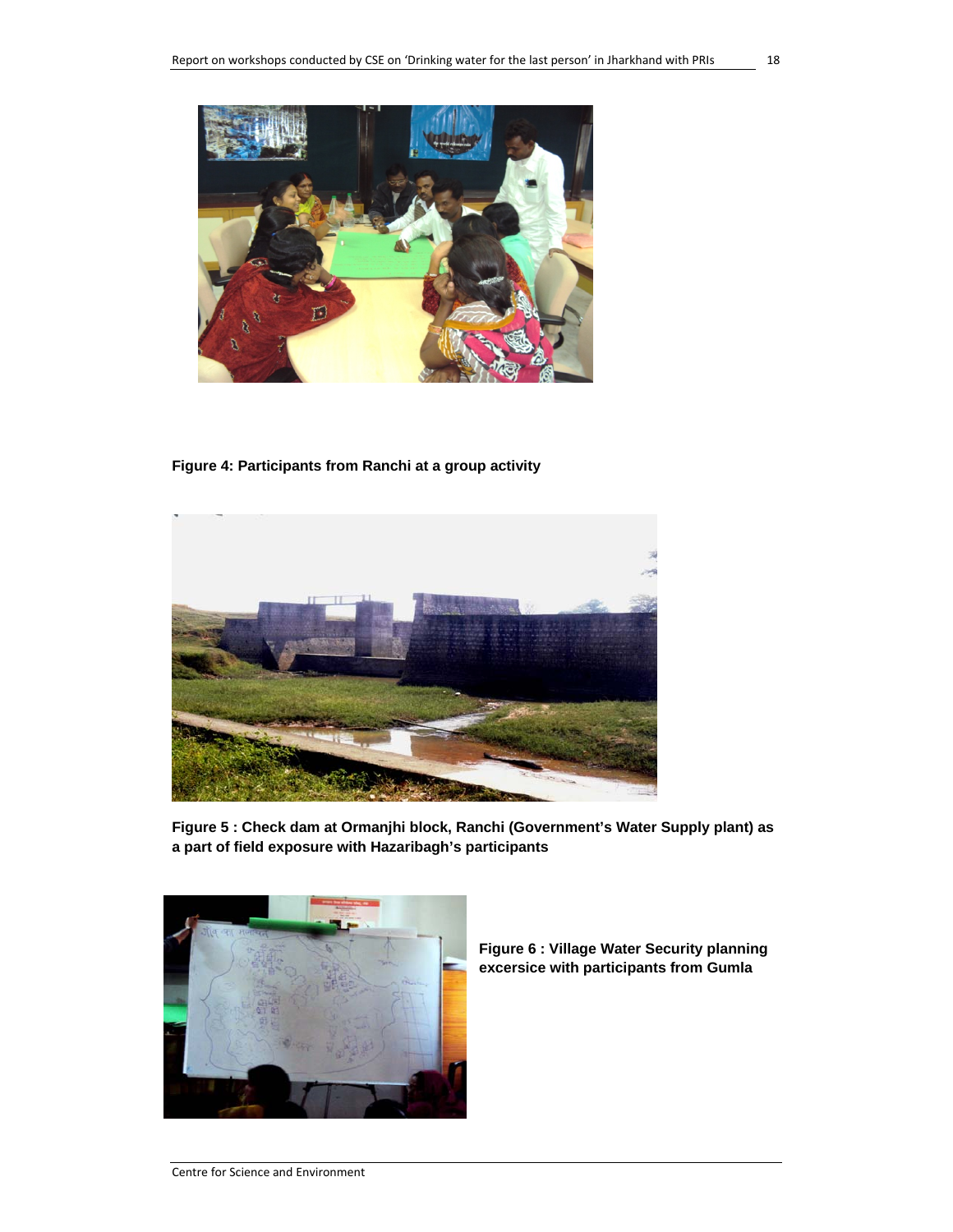

**Figure 4: Participants from Ranchi at a group activity** 



**Figure 5 : Check dam at Ormanjhi block, Ranchi (Government's Water Supply plant) as a part of field exposure with Hazaribagh's participants**



**Figure 6 : Village Water Security planning excersice with participants from Gumla**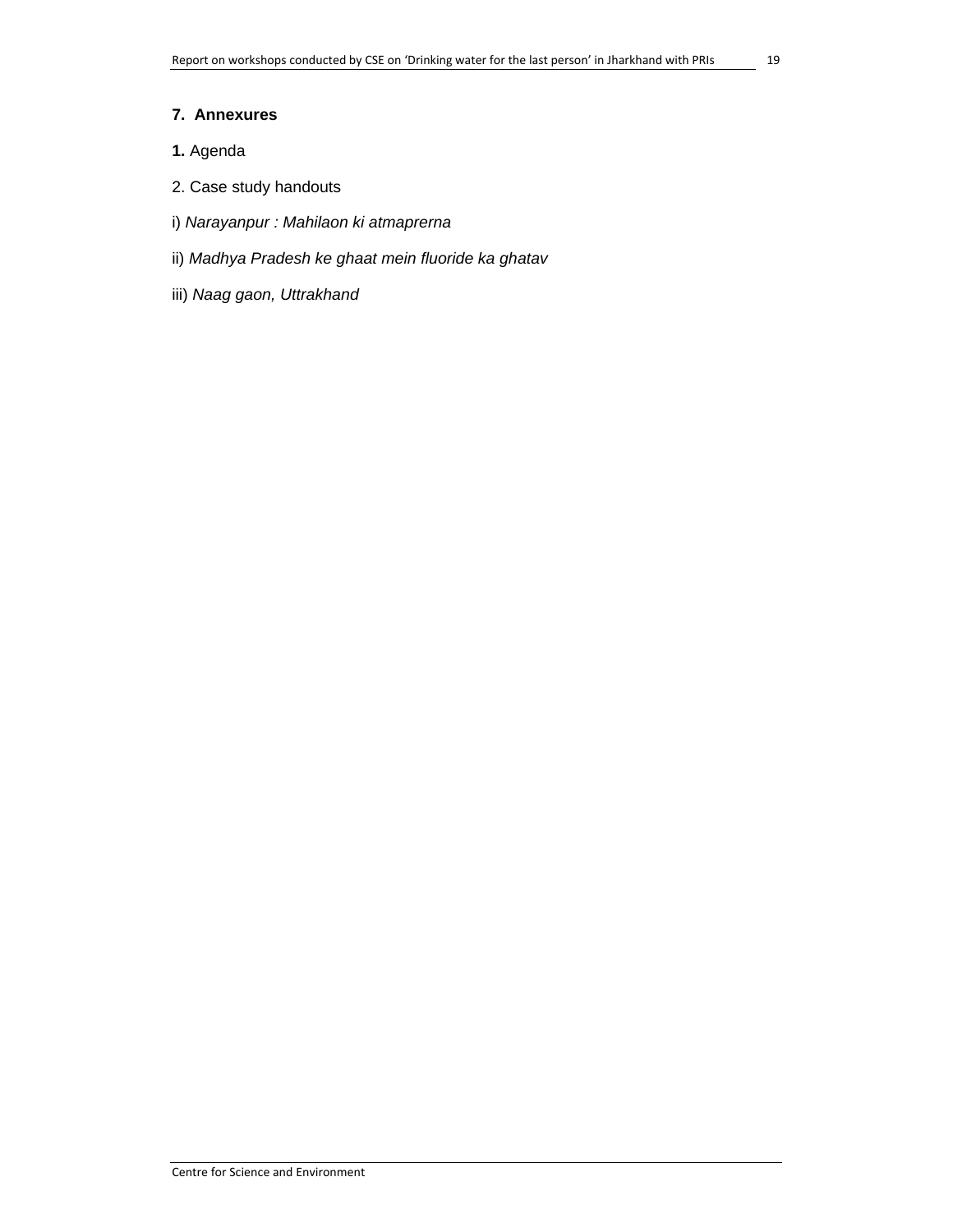#### **7. Annexures**

- **1.** Agenda
- 2. Case study handouts
- i) *Narayanpur : Mahilaon ki atmaprerna*
- ii) *Madhya Pradesh ke ghaat mein fluoride ka ghatav*
- iii) *Naag gaon, Uttrakhand*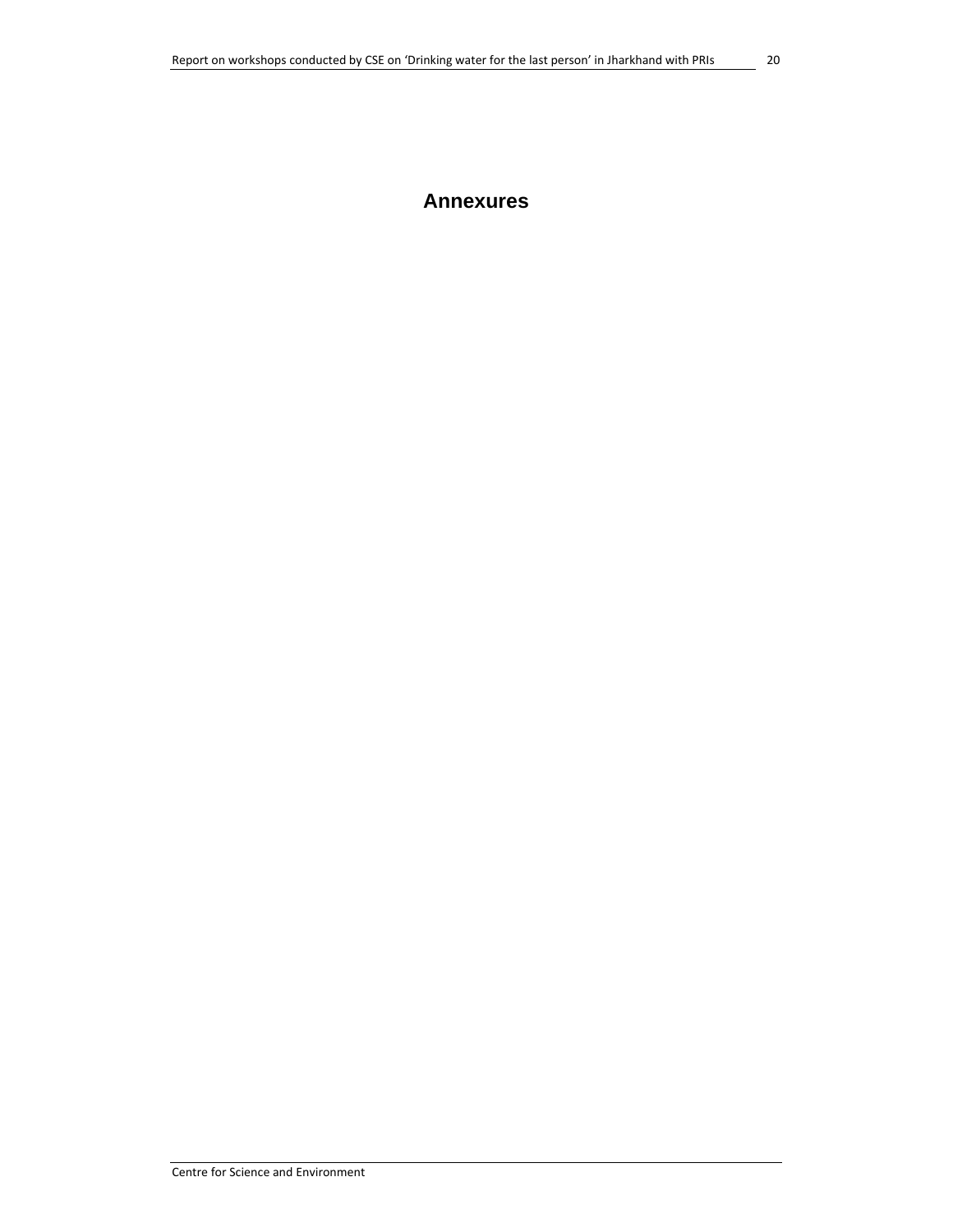### **Annexures**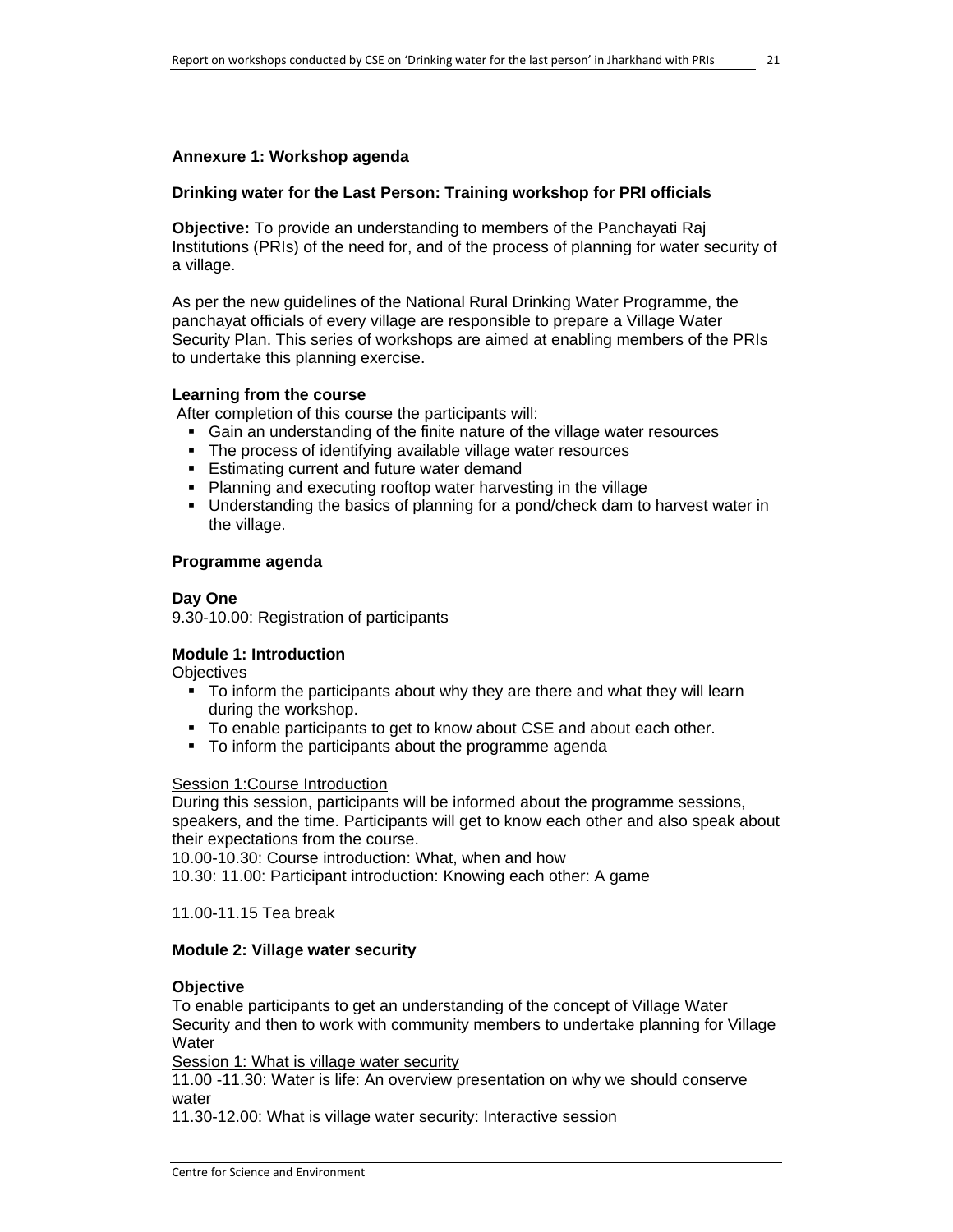#### **Annexure 1: Workshop agenda**

#### **Drinking water for the Last Person: Training workshop for PRI officials**

**Objective:** To provide an understanding to members of the Panchayati Raj Institutions (PRIs) of the need for, and of the process of planning for water security of a village.

As per the new guidelines of the National Rural Drinking Water Programme, the panchayat officials of every village are responsible to prepare a Village Water Security Plan. This series of workshops are aimed at enabling members of the PRIs to undertake this planning exercise.

#### **Learning from the course**

After completion of this course the participants will:

- Gain an understanding of the finite nature of the village water resources
- **The process of identifying available village water resources**
- **Estimating current and future water demand**
- Planning and executing rooftop water harvesting in the village
- Understanding the basics of planning for a pond/check dam to harvest water in the village.

#### **Programme agenda**

#### **Day One**

9.30-10.00: Registration of participants

#### **Module 1: Introduction**

**Objectives** 

- To inform the participants about why they are there and what they will learn during the workshop.
- To enable participants to get to know about CSE and about each other.
- To inform the participants about the programme agenda

#### Session 1:Course Introduction

During this session, participants will be informed about the programme sessions, speakers, and the time. Participants will get to know each other and also speak about their expectations from the course.

10.00-10.30: Course introduction: What, when and how

10.30: 11.00: Participant introduction: Knowing each other: A game

11.00-11.15 Tea break

#### **Module 2: Village water security**

#### **Objective**

To enable participants to get an understanding of the concept of Village Water Security and then to work with community members to undertake planning for Village Water

Session 1: What is village water security

11.00 -11.30: Water is life: An overview presentation on why we should conserve water

11.30-12.00: What is village water security: Interactive session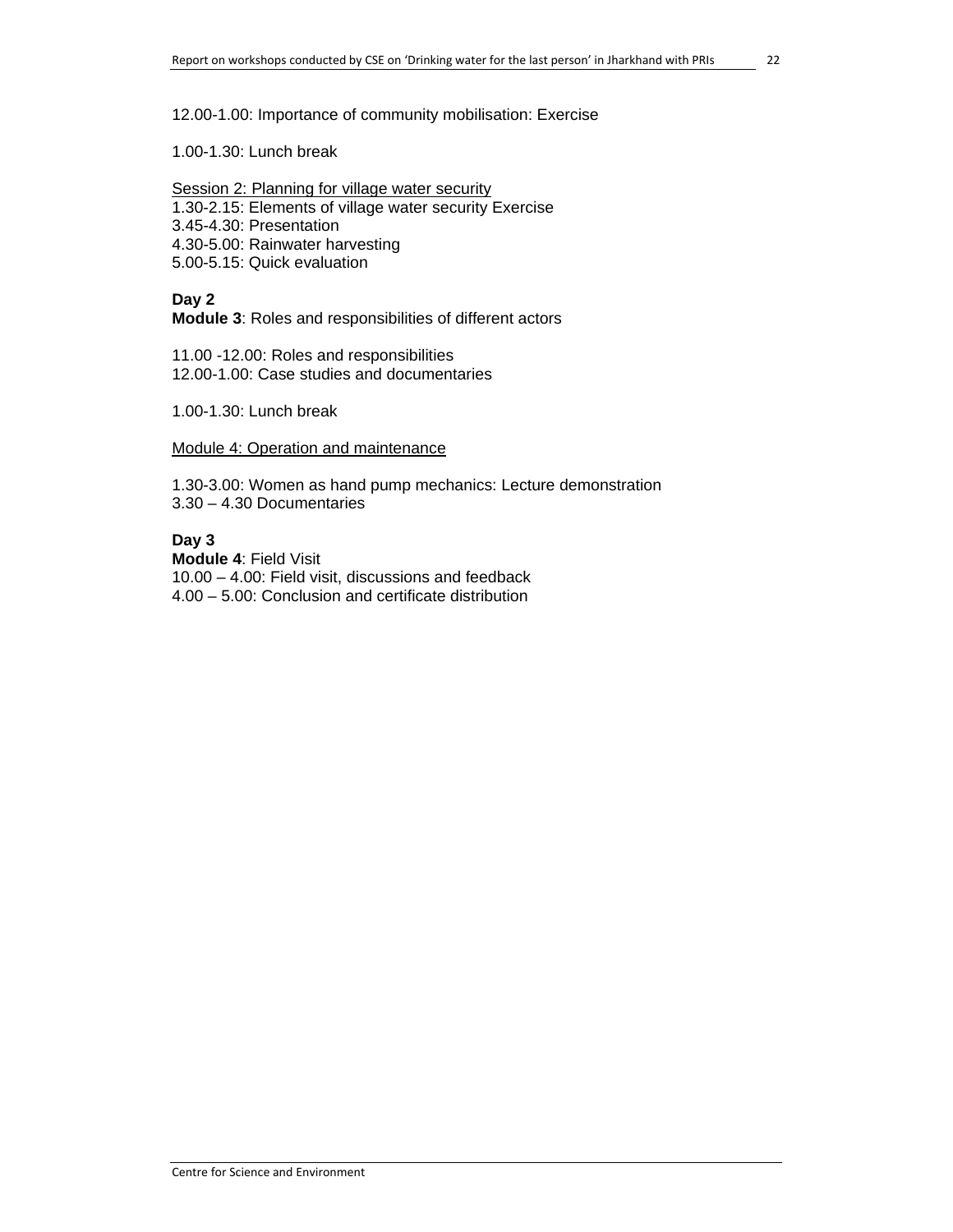#### 12.00-1.00: Importance of community mobilisation: Exercise

1.00-1.30: Lunch break

Session 2: Planning for village water security 1.30-2.15: Elements of village water security Exercise 3.45-4.30: Presentation 4.30-5.00: Rainwater harvesting 5.00-5.15: Quick evaluation

#### **Day 2**

**Module 3**: Roles and responsibilities of different actors

11.00 -12.00: Roles and responsibilities 12.00-1.00: Case studies and documentaries

1.00-1.30: Lunch break

Module 4: Operation and maintenance

1.30-3.00: Women as hand pump mechanics: Lecture demonstration 3.30 – 4.30 Documentaries

#### **Day 3**

**Module 4**: Field Visit 10.00 – 4.00: Field visit, discussions and feedback 4.00 – 5.00: Conclusion and certificate distribution